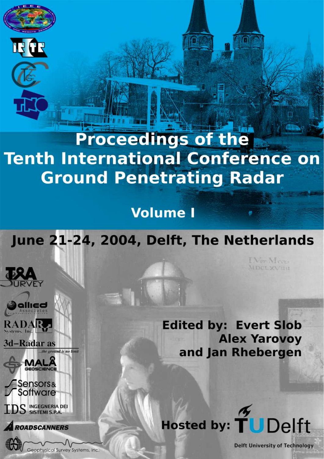# **Proceedings of the Tenth International Conference on Ground Penetrating Radar**

**Volume I** 

June 21-24, 2004, Delft, The Netherlands

**FY** 

**RADAR** 3d-Radar as

the ground is no limit **MALA** 

**Sensors&**<br>Software S INGEGNERIA DEI

**ROADSCANNERS** 

Geophysical Survey Systems, Inc.

**Edited by: Evert Slob Alex Yarovoy** and Jan Rhebergen



**Delft University of Technology** 

I Ver-Meer-MDCLXVIIII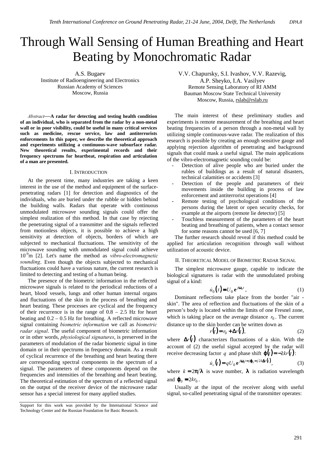## Through Wall Sensing of Human Breathing and Heart Beating by Monochromatic Radar

A.S. Bugaev Institute of Radioengineering and Electronics Russian Academy of Sciences Moscow, Russia

*Abstract*—**A radar for detecting and testing health condition of an individual, who is separated from the radar by a non-metal wall or in poor visibility, could be useful in many critical services such as medicine, rescue service, law and antiterrorists enforcements In this paper, we describe the theoretical approach and experiments utilizing a continuous-wave subsurface radar. New theoretical results, experimental records and their frequency spectrums for heartbeat, respiration and articulation of a man are presented.** 

#### I. INTRODUCTION

At the present time, many industries are taking a keen interest in the use of the method and equipment of the surfacepenetrating radars [1] for detection and diagnostics of the individuals, who are buried under the rubble or hidden behind the building walls. Radars that operate with continuous unmodulated microwave sounding signals could offer the simplest realization of this method. In that case by rejecting the penetrating signal of a transmitter and the signals reflected from motionless objects, it is possible to achieve a high sensitivity at detection of objects, borders of which are subjected to mechanical fluctuations. The sensitivity of the microwave sounding with unmodulated signal could achieve 10-9m [2]. Let's name the method as *vibro-electromagnetic sounding*. Even though the objects subjected to mechanical fluctuations could have a various nature, the current research is limited to detecting and testing of a human being.

The presence of the biometric information in the reflected microwave signals is related to the periodical reductions of a heart, blood vessels, lungs and other human internal organs and fluctuations of the skin in the process of breathing and heart beating. These processes are cyclical and the frequency of their recurrence is in the range of  $0.8 - 2.5$  Hz for heart beating and 0.2 – 0.5 Hz for breathing. A reflected microwave signal containing *biometric information* we call as *biometric radar signal*. The useful component of biometric information or in other words, *physiological signatures*, is preserved in the parameters of modulation of the radar biometric signal in time domain or in their spectrums in frequency domain. As a result of cyclical recurrence of the breathing and heart beating there are corresponding spectral components in the spectrum of a signal. The parameters of these components depend on the frequencies and intensities of the breathing and heart beating. The theoretical estimation of the spectrum of a reflected signal on the output of the receiver device of the microwave radar sensor has a special interest for many applied studies.

V.V. Chapursky, S.I. Ivashov, V.V. Razevig, A.P. Sheyko, I.A. Vasilyev Remote Sensing Laboratory of RI AMM Bauman Moscow State Technical University Moscow, Russia, rslab@rslab.ru

The main interest of these preliminary studies and experiments is remote measurement of the breathing and heart beating frequencies of a person through a non-metal wall by utilizing simple continuous-wave radar. The realization of this research is possible by creating an enough sensitive gauge and applying rejection algorithm of penetrating and background signals that could mask a useful signal. The main applications of the vibro-electromagnetic sounding could be:

- Detection of alive people who are buried under the rubles of buildings as a result of natural disasters, technical calamities or accidents [3]
- Detection of the people and parameters of their movements inside the building in process of law enforcement and antiterrorist operations [4]
- Remote testing of psychological conditions of the persons during the latent or open security checks, for example at the airports (remote lie detector) [5]
- Touchless measurement of the parameters of the heart beating and breathing of patients, when a contact sensor for some reasons cannot be used [6, 7]

The further research should reveal if this method could be applied for articulation recognition through wall without utilization of acoustic device.

II. THEORETICAL MODEL OF BIOMETRIC RADAR SIGNAL

The simplest microwave gauge, capable to indicate the biological signatures is radar with the unmodulated probing signal of a kind:

$$
\dot{u}_0(t) = U_0 e^{j\omega_0 t},\qquad(1)
$$

Dominant reflections take place from the border "air skin". The area of reflection and fluctuations of the skin of a person's body is located within the limits of one Fresnel zone, which is taking place on the average distance  $r_0$ . The current distance up to the skin border can be written down as

$$
r(t) = r_0 + \Delta r(t),
$$
 (2)

where  $\Delta r(t)$  characterizes fluctuations of a skin. With the account of (2) the useful signal accepted by the radar will receive decreasing factor *q* and phase shift  $\varphi(t) = -2kr(t)$ :

$$
\dot{u}_c(t) = qU_0 e^{j\omega_0 t - j\phi_0 - j2k\Delta r(t)},\tag{3}
$$

where  $k = 2\pi/\lambda$  is wave number,  $\lambda$  is radiation wavelength and  $\mathbf{\varphi}_0 = 2kr_0$ .

Usually at the input of the receiver along with useful signal, so-called penetrating signal of the transmitter operates:

Support for this work was provided by the International Science and Technology Center and the Russian Foundation for Basic Research.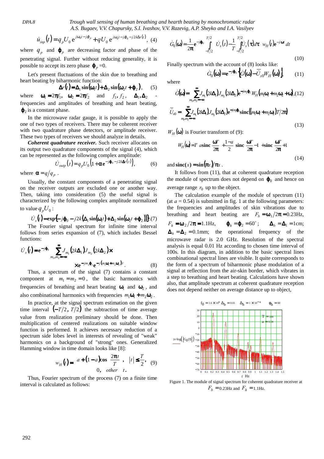*DPA.8 Trough wall sensing of human breathing and hearth beating by monochromatic radar A.S. Bugaev, V.V. Chapursky, S.I. Ivashov, V.V. Razevig, A.P. Sheyko and I.A. Vasilyev*

$$
\dot{u}_{inp}(t) = q_p U_0 e^{j\omega_0 t - j\phi_p} + qU_0 e^{j\omega_0 t - j\phi_0 - j2k\Delta r(t)}, \tag{4}
$$

where  $q_p$  and  $\varphi_p$  are decreasing factor and phase of the penetrating signal. Further without reducing generality, it is possible to accept its zero phase  $\phi_p = 0$ .

Let's present fluctuations of the skin due to breathing and heart beating by biharmonic function:

$$
\Delta r(t) = \Delta_1 \sin(\omega_1 t) + \Delta_2 \sin(\omega_2 t + \varphi_2), \qquad (5)
$$

where  $\mathbf{\omega}_1 = 2\pi f_1$ ,  $\mathbf{\omega}_2 = 2\pi f_2$  and  $f_1, f_2, \quad \mathbf{\Delta}_1, \mathbf{\Delta}_2$ frequencies and amplitudes of breathing and heart beating,  $\varphi_2$  is a constant phase.

In the microwave radar gauge, it is possible to apply the one of two types of receivers. There may be coherent receiver with two quadrature phase detectors, or amplitude receiver. These two types of receivers we should analyze in details.

*Coherent quadrature receiver.* Such receiver allocates on its output two quadrature components of the signal (4), which can be represented as the following complex amplitude:

$$
\dot{U}_{\text{outp}}(t) = q_p U_0 \Big( 1 + \alpha e^{-j\phi_0 - j2k\Delta r(t)} \Big),\tag{6}
$$

where  $\alpha = q/q_p$ .

Usually, the constant components of a penetrating signal on the receiver outputs are excluded one or another way. Then, taking into consideration (5) the useful signal is characterized by the following complex amplitude normalized to value  $q_p U_0$  :

 $U_s(t) = \exp\{-j\phi_0 - j2k(\Delta_1 \sin(\omega_1 t) + \Delta_2 \sin(\omega_2 t + \phi_2))\}$ .(7)

The Fourier signal spectrum for infinite time interval follows from series expansion of (7), which includes Bessel functions:

$$
\dot{U}_s(t) = e^{-j\phi_0} \sum_{m_1, m_2 = -\infty}^{\infty} J_{m_1} (2k\Delta_1) J_{m_2} (2k\Delta_2) \times
$$
  
 
$$
\times e^{-jm_2\phi_2} e^{-j(m_1\omega_1 + m_2\omega_2)t}.
$$
 (8)

Thus, a spectrum of the signal (7) contains a constant component at  $m_1 = m_2 = 0$ , the basic harmonics with frequencies of breathing and heart beating  $\omega_1$  and  $\omega_2$ , and also combinational harmonics with frequencies  $m_1 \mathbf{\omega}_1 + m_2 \mathbf{\omega}_2$ .

In practice, at the signal spectrum estimation on the given time interval  $(-T/2, T/2)$  the subtraction of time average value from realization preliminary should be done. Then multiplication of centered realizations on suitable window function is performed. It achieves necessary reduction of a spectrum side lobes level in interests of revealing of "weak" harmonics on a background of "strong" ones. Generalized Hamming window in time domain looks like [8]:

$$
w_H(t) = \begin{cases} a + (1 - a)\cos\left(\frac{2\pi t}{T}\right), & |t| \leq \frac{T}{2}, & (9) \\ 0, & \text{other} \end{cases}
$$

Thus, Fourier spectrum of the process (7) on a finite time interval is calculated as follows:

$$
\dot{G}_0(\mathbf{\omega}) = \frac{1}{2\pi} \mathbf{e}^{-j\mathbf{\phi}_0} \int_{-T/2}^{T/2} \left[ \dot{U}_s(t) - \frac{1}{T} \int_{-T/2}^{T/2} \dot{U}_s(\tau) d\tau \right] w_H(t) \mathbf{e}^{-j\mathbf{\omega}t} dt
$$
\n(10)

Finally spectrum with the account of (8) looks like:

$$
\dot{G}_0(\mathbf{\omega}) = \mathbf{e}^{-j\mathbf{\varphi}_0} \left\{ \dot{G}(\mathbf{\omega}) - \dot{\overline{U}}_{s0} W_H(\mathbf{\omega}) \right\},\qquad(11)
$$

where

$$
\dot{G}(\mathbf{\omega}) = \sum_{m_1, m_2 = -\infty}^{\infty} J_{m_1} (2k\Delta_1) J_{m_2} (2k\Delta_2) e^{-jm_2 \mathbf{\varphi}_2} W_H (m_1 \mathbf{\omega}_1 + m_2 \mathbf{\omega}_2 + \mathbf{\omega}), (12)
$$
  

$$
\overline{U}_{s0} = \sum_{m_1, m_2 = -\infty}^{\infty} J_{m_1} (2k\Delta_1) J_{m_2} (2k\Delta_2) e^{-jm_2 \mathbf{\varphi}_2} \text{sinc} ((m_1 \mathbf{\omega}_1 + m_2 \mathbf{\omega}_2) T / 2\pi)
$$
(13)

$$
W_H(\mathbf{\omega}) \text{ is Fourier transform of (9):}
$$
  

$$
W_H(\mathbf{\omega}) = T \left\{ a \sin \left( \frac{\mathbf{\omega}^T}{2\pi} \right) + \frac{1 - a}{2} \left[ \sin \left( \frac{\mathbf{\omega}^T}{2\pi} - 1 \right) + \sin \left( \frac{\mathbf{\omega}^T}{2\pi} + 1 \right) \right] \right\}
$$
(14)

and  $\operatorname{sinc}(x) = \sin(\pi x)/\pi x$ .

It follows from (11), that at coherent quadrature reception the module of spectrum does not depend on  $\varphi_0$  and hence on average range  $r_0$  up to the object.

The calculation example of the module of spectrum (11) (at  $a = 0.54$ ) is submitted in fig. 1 at the following parameters: the frequencies and amplitudes of skin vibrations due to breathing and heart beating are  $F_b = \omega_1 / 2\pi = 0.23$  Hz,

 $F_h = \omega_2 / 2\pi = 1.1 \text{ Hz}, \qquad \phi_h = \phi_2 = 60^\circ; \qquad \Delta_b = \Delta_1 = 1 \text{ cm};$  $\Delta_h = \Delta_2 = 0.1$ mm; the operational frequency of the microwave radar is 2.0 GHz. Resolution of the spectral analysis is equal 0.01 Hz according to chosen time interval of 100s. In this diagram, in addition to the basic spectral lines combinational spectral lines are visible. It quite corresponds to the form of a spectrum of biharmonic phase modulation of a signal at reflection from the air-skin border, which vibrates in a step to breathing and heart beating. Calculations have shown also, that amplitude spectrum at coherent quadrature reception does not depend neither on average distance up to object,



Figure 1. The module of signal spectrum for coherent quadrature receiver at  $F_b = 0.23$ Hz and  $F_h = 1.1$ Hz.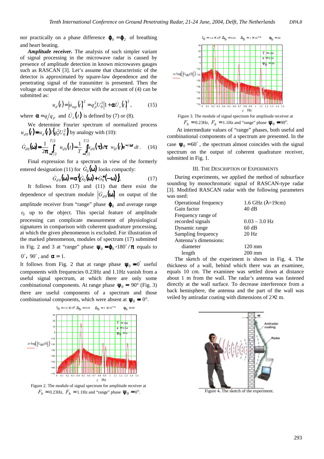nor practically on a phase difference  $\mathbf{\varphi}_h = \mathbf{\varphi}_2$  of breathing and heart beating.

*Amplitude receiver.* The analysis of such simpler variant of signal processing in the microwave radar is caused by presence of amplitude detection in known microwaves gauges such as RASCAN [3]. Let's assume that characteristic of the detector is approximated by square-law dependence and the penetrating signal of the transmitter is presented. Then the voltage at output of the detector with the account of (4) can be submitted as:

$$
u_{d}(t) = \left| \dot{u}_{inp}(t) \right|^{2} = q_{p}^{2} U_{0}^{2} \left| 1 + \alpha \dot{U}_{s}(t) \right|^{2}, \qquad (15)
$$

where  $\alpha = q/q_p$  and  $U_s(t)$  is defined by (7) or (8).

We determine Fourier spectrum of normalized process  $u_{d0}(t) = u_d(t)/\left(q_0^2 U_0^2\right)$  by analogy with (10):

$$
\dot{G}_{d0}(\mathbf{\omega}) = \frac{1}{2\pi} \int_{-T/2}^{T/2} \left[ u_{d0}(t) - \frac{1}{T} \int_{-T/2}^{T/2} u_{d0}(\tau) d\tau \right] w_H(t) e^{-j\mathbf{\omega}t} dt. \quad (16)
$$

Final expression for a spectrum in view of the formerly entered designation (11) for  $\dot{G}_0(\omega)$  looks compactly:

$$
\dot{G}_{d0}(\mathbf{\omega}) = \alpha \Big\{ \dot{G}_0(\mathbf{\omega}) + \dot{G}_0^*(-\mathbf{\omega}) \Big\},\tag{17}
$$

It follows from (17) and (11) that there exist the dependence of spectrum module  $| G_d |_{\mathbf{Q}} (\mathbf{\omega}) |$  on output of the amplitude receiver from "range" phase  $\varphi_0$  and average range  $r_0$  up to the object. This special feature of amplitude processing can complicate measurement of physiological signatures in comparison with coherent quadrature processing, at which the given phenomenon is excluded. For illustration of the marked phenomenon, modules of spectrum (17) submitted in Fig. 2 and 3 at "range" phase  $\Psi_0 = \varphi_0 \cdot 180^\circ / \pi$  equals to  $0^\circ$ , 90 $^\circ$ , and  $\alpha = 1$ .

It follows from Fig. 2 that at range phase  $\Psi_0 = 0^\circ$  useful components with frequencies 0.23Hz and 1.1Hz vanish from a useful signal spectrum, at which there are only some combinational components. At range phase  $\Psi_0 = 90^\circ$  (Fig. 3) there are useful components of a spectrum and those combinational components, which were absent at  $\Psi_0 = 0^\circ$ .



Figure 2. The module of signal spectrum for amplitude receiver at  $F_b = 0.23$ Hz,  $F_b = 1.1$ Hz and "range" phase  $\Psi_0 = 0^\circ$ .





At intermediate values of "range" phases, both useful and combinational components of a spectrum are presented. In the case  $\Psi_0 = 60^\circ$ , the spectrum almost coincides with the signal spectrum on the output of coherent quadrature receiver, submitted in Fig. 1.

#### III. THE DESCRIPTION OF EXPERIMENTS

During experiments, we applied the method of subsurface sounding by monochromatic signal of RASCAN-type radar [3]. Modified RASCAN radar with the following parameters was used:

| 1.6 GHz $(\lambda=19cm)$ |
|--------------------------|
| 40dB                     |
|                          |
| $0.03 - 3.0$ Hz          |
| 60 dB                    |
| $20$ Hz                  |
|                          |
| $120 \text{ mm}$         |
| 200 mm                   |
|                          |

The sketch of the experiment is shown in Fig. 4. The thickness of a wall, behind which there was an examinee, equals 10 cm. The examinee was settled down at distance about 1 m from the wall. The radar's antenna was fastened directly at the wall surface. To decrease interference from a back hemisphere, the antenna and the part of the wall was veiled by antiradar coating with dimensions of 2×2 m.



Figure 4**.** The sketch of the experiment.